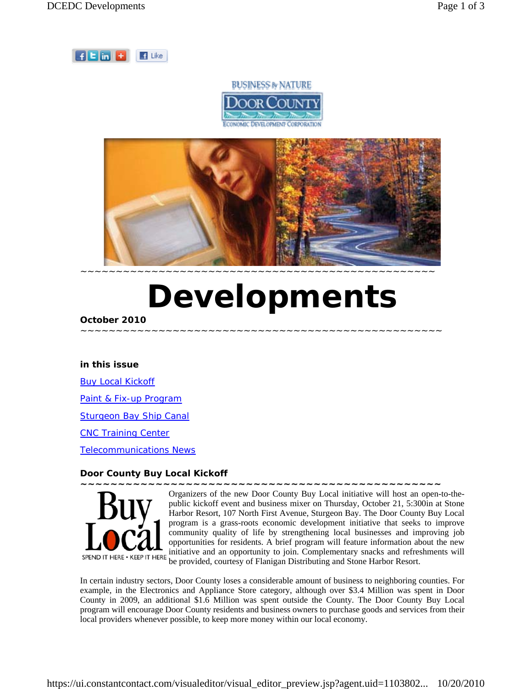





# *Developments*

~~~~~~~~~~~~~~~~~~~~~~~~~~~~~~~~~~~~~~~~~~~~~~~~~~~

## **October 2010**

#### **in this issue**

**Buy Local Kickoff** Paint & Fix-up Program Sturgeon Bay Ship Canal CNC Training Center Telecommunications News

## **Door County Buy Local Kickoff**



Organizers of the new Door County Buy Local initiative will host an open-to-thepublic kickoff event and business mixer on Thursday, October 21, 5:300in at Stone Harbor Resort, 107 North First Avenue, Sturgeon Bay. The Door County Buy Local program is a grass-roots economic development initiative that seeks to improve community quality of life by strengthening local businesses and improving job opportunities for residents. A brief program will feature information about the new initiative and an opportunity to join. Complementary snacks and refreshments will be provided, courtesy of Flanigan Distributing and Stone Harbor Resort.

**~~~~~~~~~~~~~~~~~~~~~~~~~~~~~~~~~~~~~~~~~~~~~~~~** 

In certain industry sectors, Door County loses a considerable amount of business to neighboring counties. For example, in the Electronics and Appliance Store category, although over \$3.4 Million was spent in Door County in 2009, an additional \$1.6 Million was spent outside the County. The Door County Buy Local program will encourage Door County residents and business owners to purchase goods and services from their local providers whenever possible, to keep more money within our local economy.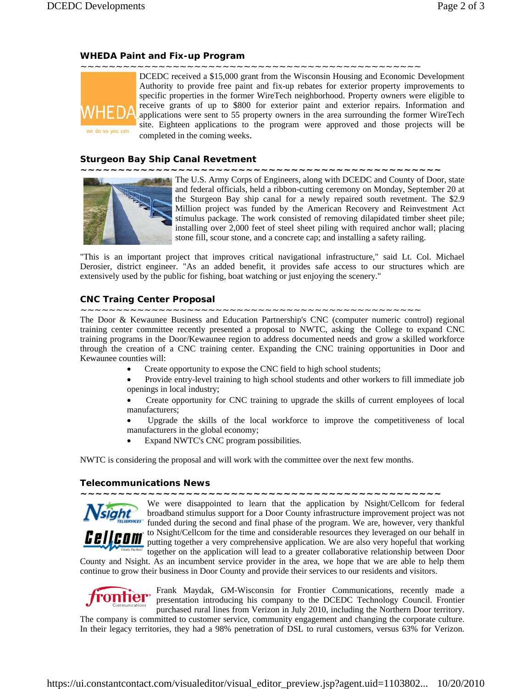## **WHEDA Paint and Fix-up Program**



DCEDC received a \$15,000 grant from the Wisconsin Housing and Economic Development Authority to provide free paint and fix-up rebates for exterior property improvements to specific properties in the former WireTech neighborhood. Property owners were eligible to receive grants of up to \$800 for exterior paint and exterior repairs. Information and applications were sent to 55 property owners in the area surrounding the former WireTech site. Eighteen applications to the program were approved and those projects will be completed in the coming weeks.

### **Sturgeon Bay Ship Canal Revetment**

**~~~~~~~~~~~~~~~~~~~~~~~~~~~~~~~~~~~~~~~~~~~~~~~~** 



The U.S. Army Corps of Engineers, along with DCEDC and County of Door, state and federal officials, held a ribbon-cutting ceremony on Monday, September 20 at the Sturgeon Bay ship canal for a newly repaired south revetment. The \$2.9 Million project was funded by the American Recovery and Reinvestment Act stimulus package. The work consisted of removing dilapidated timber sheet pile; installing over 2,000 feet of steel sheet piling with required anchor wall; placing stone fill, scour stone, and a concrete cap; and installing a safety railing.

"This is an important project that improves critical navigational infrastructure," said Lt. Col. Michael Derosier, district engineer. "As an added benefit, it provides safe access to our structures which are extensively used by the public for fishing, boat watching or just enjoying the scenery."

## **CNC Traing Center Proposal**

~~~~~~~~~~~~~~~~~~~~~~~~~~~~~~~~~~~~~~~~~~~~~~~~

The Door & Kewaunee Business and Education Partnership's CNC (computer numeric control) regional training center committee recently presented a proposal to NWTC, asking the College to expand CNC training programs in the Door/Kewaunee region to address documented needs and grow a skilled workforce through the creation of a CNC training center. Expanding the CNC training opportunities in Door and Kewaunee counties will:

- Create opportunity to expose the CNC field to high school students;
- Provide entry-level training to high school students and other workers to fill immediate job openings in local industry;

• Create opportunity for CNC training to upgrade the skills of current employees of local manufacturers;

• Upgrade the skills of the local workforce to improve the competitiveness of local manufacturers in the global economy;

• Expand NWTC's CNC program possibilities.

NWTC is considering the proposal and will work with the committee over the next few months.

## **Telecommunications News**

**~~~~~~~~~~~~~~~~~~~~~~~~~~~~~~~~~~~~~~~~~~~~~~~~** 



We were disappointed to learn that the application by Nsight/Cellcom for federal broadband stimulus support for a Door County infrastructure improvement project was not *kwashed funded during the second and final phase of the program. We are, however, very thankful* **COM** to Nsight/Cellcom for the time and considerable resources they leveraged on our behalf in putting together a very comprehensive application. We are also very hopeful that working together on the application will lead to a greater collaborative relationship between Door

County and Nsight. As an incumbent service provider in the area, we hope that we are able to help them continue to grow their business in Door County and provide their services to our residents and visitors.



Frank Maydak, GM-Wisconsin for Frontier Communications, recently made a presentation introducing his company to the DCEDC Technology Council. Frontier purchased rural lines from Verizon in July 2010, including the Northern Door territory.

The company is committed to customer service, community engagement and changing the corporate culture. In their legacy territories, they had a 98% penetration of DSL to rural customers, versus 63% for Verizon.